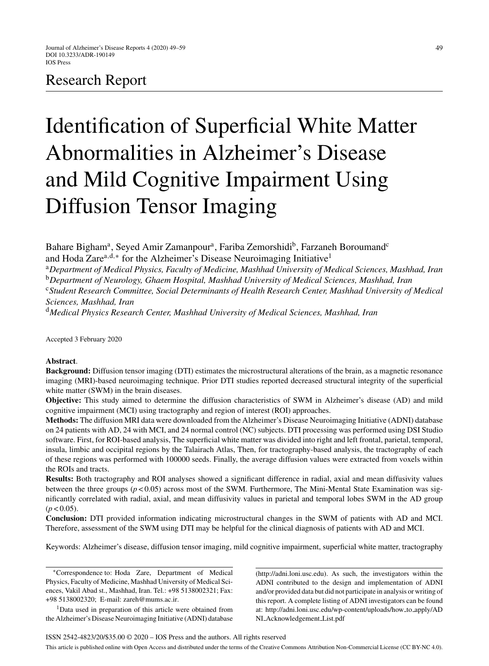# Research Report

# Identification of Superficial White Matter Abnormalities in Alzheimer's Disease and Mild Cognitive Impairment Using Diffusion Tensor Imaging

Bahare Bigham<sup>a</sup>, Seyed Amir Zamanpour<sup>a</sup>, Fariba Zemorshidi<sup>b</sup>, Farzaneh Boroumand<sup>c</sup> and Hoda Zare<sup>a,d,∗</sup> for the Alzheimer's Disease Neuroimaging Initiative<sup>1</sup>

<sup>a</sup>*Department of Medical Physics, Faculty of Medicine, Mashhad University of Medical Sciences, Mashhad, Iran* <sup>b</sup>*Department of Neurology, Ghaem Hospital, Mashhad University of Medical Sciences, Mashhad, Iran* <sup>c</sup>*Student Research Committee, Social Determinants of Health Research Center, Mashhad University of Medical Sciences, Mashhad, Iran*

<sup>d</sup>*Medical Physics Research Center, Mashhad University of Medical Sciences, Mashhad, Iran*

Accepted 3 February 2020

# **Abstract**.

**Background:** Diffusion tensor imaging (DTI) estimates the microstructural alterations of the brain, as a magnetic resonance imaging (MRI)-based neuroimaging technique. Prior DTI studies reported decreased structural integrity of the superficial white matter (SWM) in the brain diseases.

**Objective:** This study aimed to determine the diffusion characteristics of SWM in Alzheimer's disease (AD) and mild cognitive impairment (MCI) using tractography and region of interest (ROI) approaches.

**Methods:** The diffusion MRI data were downloaded from the Alzheimer's Disease Neuroimaging Initiative (ADNI) database on 24 patients with AD, 24 with MCI, and 24 normal control (NC) subjects. DTI processing was performed using DSI Studio software. First, for ROI-based analysis, The superficial white matter was divided into right and left frontal, parietal, temporal, insula, limbic and occipital regions by the Talairach Atlas, Then, for tractography-based analysis, the tractography of each of these regions was performed with 100000 seeds. Finally, the average diffusion values were extracted from voxels within the ROIs and tracts.

**Results:** Both tractography and ROI analyses showed a significant difference in radial, axial and mean diffusivity values between the three groups (*p* < 0.05) across most of the SWM. Furthermore, The Mini-Mental State Examination was significantly correlated with radial, axial, and mean diffusivity values in parietal and temporal lobes SWM in the AD group  $(p < 0.05)$ .

**Conclusion:** DTI provided information indicating microstructural changes in the SWM of patients with AD and MCI. Therefore, assessment of the SWM using DTI may be helpful for the clinical diagnosis of patients with AD and MCI.

Keywords: Alzheimer's disease, diffusion tensor imaging, mild cognitive impairment, superficial white matter, tractography

∗Correspondence to: Hoda Zare, Department of Medical Physics, Faculty of Medicine, Mashhad University of Medical Sciences, Vakil Abad st., Mashhad, Iran. Tel.: +98 5138002321; Fax: +98 5138002320; E-mail: [zareh@mums.ac.ir](mailto:zareh@mums.ac.ir).

<sup>1</sup>Data used in preparation of this article were obtained from the Alzheimer's Disease Neuroimaging Initiative (ADNI) database

[\(http://adni.loni.usc.edu\)](http://adni.loni.usc.edu). As such, the investigators within the ADNI contributed to the design and implementation of ADNI and/or provided data but did not participate in analysis or writing of this report. A complete listing of ADNI investigators can be found at: [http://adni.loni.usc.edu/wp-content/uploads/how](http://adni.loni.usc.edu/wp-content/uploads/how_to_apply/ADNI_Acknowledgement_List.pdf) to apply/AD NI [Acknowledgement](http://adni.loni.usc.edu/wp-content/uploads/how_to_apply/ADNI_Acknowledgement_List.pdf) List.pdf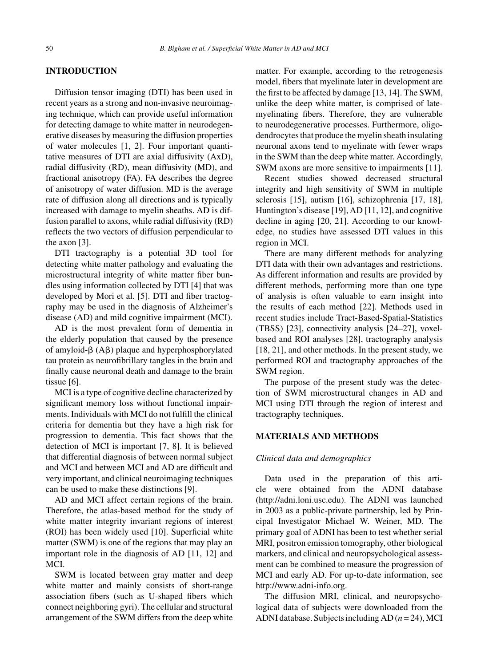# **INTRODUCTION**

Diffusion tensor imaging (DTI) has been used in recent years as a strong and non-invasive neuroimaging technique, which can provide useful information for detecting damage to white matter in neurodegenerative diseases by measuring the diffusion properties of water molecules [1, 2]. Four important quantitative measures of DTI are axial diffusivity (AxD), radial diffusivity (RD), mean diffusivity (MD), and fractional anisotropy (FA). FA describes the degree of anisotropy of water diffusion. MD is the average rate of diffusion along all directions and is typically increased with damage to myelin sheaths. AD is diffusion parallel to axons, while radial diffusivity (RD) reflects the two vectors of diffusion perpendicular to the axon [3].

DTI tractography is a potential 3D tool for detecting white matter pathology and evaluating the microstructural integrity of white matter fiber bundles using information collected by DTI [4] that was developed by Mori et al. [5]. DTI and fiber tractography may be used in the diagnosis of Alzheimer's disease (AD) and mild cognitive impairment (MCI).

AD is the most prevalent form of dementia in the elderly population that caused by the presence of amyloid- $\beta$  (A $\beta$ ) plaque and hyperphosphorylated tau protein as neurofibrillary tangles in the brain and finally cause neuronal death and damage to the brain tissue [6].

MCI is a type of cognitive decline characterized by significant memory loss without functional impairments. Individuals with MCI do not fulfill the clinical criteria for dementia but they have a high risk for progression to dementia. This fact shows that the detection of MCI is important [7, 8]. It is believed that differential diagnosis of between normal subject and MCI and between MCI and AD are difficult and very important, and clinical neuroimaging techniques can be used to make these distinctions [9].

AD and MCI affect certain regions of the brain. Therefore, the atlas-based method for the study of white matter integrity invariant regions of interest (ROI) has been widely used [10]. Superficial white matter (SWM) is one of the regions that may play an important role in the diagnosis of AD [11, 12] and MCI.

SWM is located between gray matter and deep white matter and mainly consists of short-range association fibers (such as U-shaped fibers which connect neighboring gyri). The cellular and structural arrangement of the SWM differs from the deep white

matter. For example, according to the retrogenesis model, fibers that myelinate later in development are the first to be affected by damage [13, 14]. The SWM, unlike the deep white matter, is comprised of latemyelinating fibers. Therefore, they are vulnerable to neurodegenerative processes. Furthermore, oligodendrocytes that produce the myelin sheath insulating neuronal axons tend to myelinate with fewer wraps in the SWM than the deep white matter. Accordingly, SWM axons are more sensitive to impairments [11].

Recent studies showed decreased structural integrity and high sensitivity of SWM in multiple sclerosis [15], autism [16], schizophrenia [17, 18], Huntington's disease [19], AD [11, 12], and cognitive decline in aging [20, 21]. According to our knowledge, no studies have assessed DTI values in this region in MCI.

There are many different methods for analyzing DTI data with their own advantages and restrictions. As different information and results are provided by different methods, performing more than one type of analysis is often valuable to earn insight into the results of each method [22]. Methods used in recent studies include Tract-Based-Spatial-Statistics (TBSS) [23], connectivity analysis [24–27], voxelbased and ROI analyses [28], tractography analysis [18, 21], and other methods. In the present study, we performed ROI and tractography approaches of the SWM region.

The purpose of the present study was the detection of SWM microstructural changes in AD and MCI using DTI through the region of interest and tractography techniques.

# **MATERIALS AND METHODS**

# *Clinical data and demographics*

Data used in the preparation of this article were obtained from the ADNI database [\(http://adni.loni.usc.edu\)](http://adni.loni.usc.edu). The ADNI was launched in 2003 as a public-private partnership, led by Principal Investigator Michael W. Weiner, MD. The primary goal of ADNI has been to test whether serial MRI, positron emission tomography, other biological markers, and clinical and neuropsychological assessment can be combined to measure the progression of MCI and early AD. For up-to-date information, see <http://www.adni-info.org>.

The diffusion MRI, clinical, and neuropsychological data of subjects were downloaded from the ADNI database. Subjects including AD (*n* = 24), MCI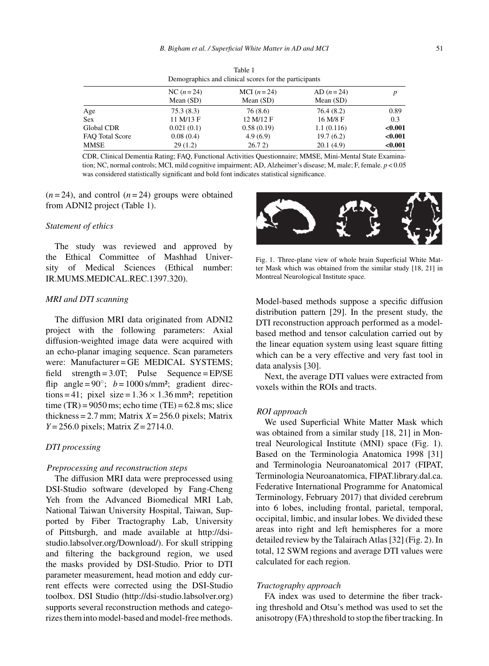|                 | Demographics and clinical scores for the participants |                             |                            |         |  |
|-----------------|-------------------------------------------------------|-----------------------------|----------------------------|---------|--|
|                 | $NC (n = 24)$<br>Mean $(SD)$                          | MCI $(n=24)$<br>Mean $(SD)$ | $AD (n=24)$<br>Mean $(SD)$ | p       |  |
| Age             | 75.3(8.3)                                             | 76 (8.6)                    | 76.4(8.2)                  | 0.89    |  |
| <b>Sex</b>      | 11 M/13 F                                             | 12 M/12 F                   | 16 M/8 F                   | 0.3     |  |
| Global CDR      | 0.021(0.1)                                            | 0.58(0.19)                  | 1.1(0.116)                 | < 0.001 |  |
| FAO Total Score | 0.08(0.4)                                             | 4.9(6.9)                    | 19.7(6.2)                  | < 0.001 |  |
| MMSE            | 29(1.2)                                               | 26.72                       | 20.1(4.9)                  | < 0.001 |  |

Table 1 Demographics and clinical scores for the participants

CDR, Clinical Dementia Rating; FAQ, Functional Activities Questionnaire; MMSE, Mini-Mental State Examination; NC, normal controls; MCI, mild cognitive impairment; AD, Alzheimer's disease; M, male; F, female. *p* < 0.05 was considered statistically significant and bold font indicates statistical significance.

 $(n=24)$ , and control  $(n=24)$  groups were obtained from ADNI2 project (Table 1).

# *Statement of ethics*

The study was reviewed and approved by the Ethical Committee of Mashhad University of Medical Sciences (Ethical number: IR.MUMS.MEDICAL.REC.1397.320).

#### *MRI and DTI scanning*

The diffusion MRI data originated from ADNI2 project with the following parameters: Axial diffusion-weighted image data were acquired with an echo-planar imaging sequence. Scan parameters were: Manufacturer = GE MEDICAL SYSTEMS; field strength =  $3.0T$ ; Pulse Sequence = EP/SE flip angle =  $90^\circ$ ; *b* = 1000 s/mm<sup>2</sup>; gradient directions = 41; pixel size =  $1.36 \times 1.36$  mm<sup>2</sup>; repetition time  $(TR) = 9050$  ms; echo time  $(TE) = 62.8$  ms; slice thickness =  $2.7$  mm; Matrix  $X = 256.0$  pixels; Matrix *Y* = 256.0 pixels; Matrix *Z* = 2714.0.

# *DTI processing*

#### *Preprocessing and reconstruction steps*

The diffusion MRI data were preprocessed using DSI-Studio software (developed by Fang-Cheng Yeh from the Advanced Biomedical MRI Lab, National Taiwan University Hospital, Taiwan, Supported by Fiber Tractography Lab, University of Pittsburgh, and made available at http://dsistudio.labsolver.org/Download/). For skull stripping and filtering the background region, we used the masks provided by DSI-Studio. Prior to DTI parameter measurement, head motion and eddy current effects were corrected using the DSI-Studio toolbox. DSI Studio (<http://dsi-studio.labsolver.org>) supports several reconstruction methods and categorizes them into model-based and model-free methods.



Fig. 1. Three-plane view of whole brain Superficial White Matter Mask which was obtained from the similar study [18, 21] in Montreal Neurological Institute space.

Model-based methods suppose a specific diffusion distribution pattern [29]. In the present study, the DTI reconstruction approach performed as a modelbased method and tensor calculation carried out by the linear equation system using least square fitting which can be a very effective and very fast tool in data analysis [30].

Next, the average DTI values were extracted from voxels within the ROIs and tracts.

# *ROI approach*

We used Superficial White Matter Mask which was obtained from a similar study [18, 21] in Montreal Neurological Institute (MNI) space (Fig. 1). Based on the Terminologia Anatomica 1998 [31] and Terminologia Neuroanatomical 2017 (FIPAT, Terminologia Neuroanatomica, FIPAT.library.dal.ca. Federative International Programme for Anatomical Terminology, February 2017) that divided cerebrum into 6 lobes, including frontal, parietal, temporal, occipital, limbic, and insular lobes. We divided these [areas into right and lef](http://dsi-studio.labsolver.org/Download/)t hemispheres for a more detailed review by the Talairach Atlas [32] (Fig. 2). In total, 12 SWM regions and average DTI values were calculated for each region.

#### *Tractography approach*

FA index was used to determine the fiber tracking threshold and Otsu's method was used to set the anisotropy (FA) threshold to stop the fiber tracking. In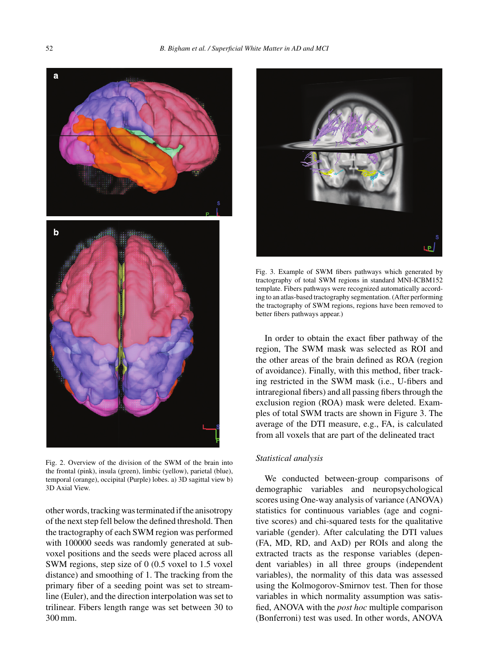

Fig. 2. Overview of the division of the SWM of the brain into the frontal (pink), insula (green), limbic (yellow), parietal (blue), temporal (orange), occipital (Purple) lobes. a) 3D sagittal view b) 3D Axial View.

other words, tracking was terminated if the anisotropy of the next step fell below the defined threshold. Then the tractography of each SWM region was performed with 100000 seeds was randomly generated at subvoxel positions and the seeds were placed across all SWM regions, step size of 0 (0.5 voxel to 1.5 voxel distance) and smoothing of 1. The tracking from the primary fiber of a seeding point was set to streamline (Euler), and the direction interpolation was set to trilinear. Fibers length range was set between 30 to 300 mm.



Fig. 3. Example of SWM fibers pathways which generated by tractography of total SWM regions in standard MNI-ICBM152 template. Fibers pathways were recognized automatically according to an atlas-based tractography segmentation. (After performing the tractography of SWM regions, regions have been removed to better fibers pathways appear.)

In order to obtain the exact fiber pathway of the region, The SWM mask was selected as ROI and the other areas of the brain defined as ROA (region of avoidance). Finally, with this method, fiber tracking restricted in the SWM mask (i.e., U-fibers and intraregional fibers) and all passing fibers through the exclusion region (ROA) mask were deleted. Examples of total SWM tracts are shown in Figure 3. The average of the DTI measure, e.g., FA, is calculated from all voxels that are part of the delineated tract

#### *Statistical analysis*

We conducted between-group comparisons of demographic variables and neuropsychological scores using One-way analysis of variance (ANOVA) statistics for continuous variables (age and cognitive scores) and chi-squared tests for the qualitative variable (gender). After calculating the DTI values (FA, MD, RD, and AxD) per ROIs and along the extracted tracts as the response variables (dependent variables) in all three groups (independent variables), the normality of this data was assessed using the Kolmogorov-Smirnov test. Then for those variables in which normality assumption was satisfied, ANOVA with the *post hoc* multiple comparison (Bonferroni) test was used. In other words, ANOVA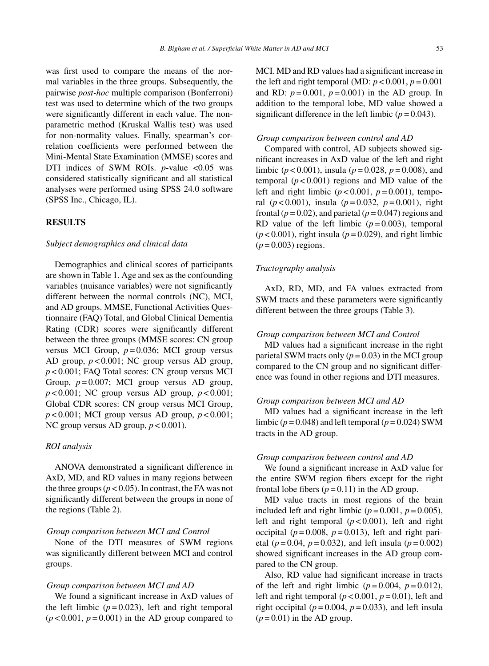was first used to compare the means of the normal variables in the three groups. Subsequently, the pairwise *post-hoc* multiple comparison (Bonferroni) test was used to determine which of the two groups were significantly different in each value. The nonparametric method (Kruskal Wallis test) was used for non-normality values. Finally, spearman's correlation coefficients were performed between the Mini-Mental State Examination (MMSE) scores and DTI indices of SWM ROIs. *p*-value <0.05 was considered statistically significant and all statistical analyses were performed using SPSS 24.0 software (SPSS Inc., Chicago, IL).

# **RESULTS**

# *Subject demographics and clinical data*

Demographics and clinical scores of participants are shown in Table 1. Age and sex as the confounding variables (nuisance variables) were not significantly different between the normal controls (NC), MCI, and AD groups. MMSE, Functional Activities Questionnaire (FAQ) Total, and Global Clinical Dementia Rating (CDR) scores were significantly different between the three groups (MMSE scores: CN group versus MCI Group,  $p = 0.036$ ; MCI group versus AD group, *p* < 0.001; NC group versus AD group, *p* < 0.001; FAQ Total scores: CN group versus MCI Group,  $p = 0.007$ ; MCI group versus AD group, *p* < 0.001; NC group versus AD group, *p* < 0.001; Global CDR scores: CN group versus MCI Group,  $p < 0.001$ ; MCI group versus AD group,  $p < 0.001$ ; NC group versus AD group, *p* < 0.001).

#### *ROI analysis*

ANOVA demonstrated a significant difference in AxD, MD, and RD values in many regions between the three groups ( $p < 0.05$ ). In contrast, the FA was not significantly different between the groups in none of the regions (Table 2).

# *Group comparison between MCI and Control*

None of the DTI measures of SWM regions was significantly different between MCI and control groups.

#### *Group comparison between MCI and AD*

We found a significant increase in AxD values of the left limbic  $(p=0.023)$ , left and right temporal  $(p<0.001, p=0.001)$  in the AD group compared to MCI. MD and RD values had a significant increase in the left and right temporal (MD:  $p < 0.001$ ,  $p = 0.001$ and RD:  $p = 0.001$ ,  $p = 0.001$ ) in the AD group. In addition to the temporal lobe, MD value showed a significant difference in the left limbic  $(p = 0.043)$ .

# *Group comparison between control and AD*

Compared with control, AD subjects showed significant increases in AxD value of the left and right limbic (*p* < 0.001), insula (*p* = 0.028, *p* = 0.008), and temporal  $(p < 0.001)$  regions and MD value of the left and right limbic  $(p < 0.001, p = 0.001)$ , temporal ( $p < 0.001$ ), insula ( $p = 0.032$ ,  $p = 0.001$ ), right frontal ( $p = 0.02$ ), and parietal ( $p = 0.047$ ) regions and RD value of the left limbic  $(p=0.003)$ , temporal  $(p<0.001)$ , right insula  $(p=0.029)$ , and right limbic  $(p = 0.003)$  regions.

# *Tractography analysis*

AxD, RD, MD, and FA values extracted from SWM tracts and these parameters were significantly different between the three groups (Table 3).

#### *Group comparison between MCI and Control*

MD values had a significant increase in the right parietal SWM tracts only  $(p=0.03)$  in the MCI group compared to the CN group and no significant difference was found in other regions and DTI measures.

#### *Group comparison between MCI and AD*

MD values had a significant increase in the left limbic ( $p = 0.048$ ) and left temporal ( $p = 0.024$ ) SWM tracts in the AD group.

#### *Group comparison between control and AD*

We found a significant increase in AxD value for the entire SWM region fibers except for the right frontal lobe fibers  $(p=0.11)$  in the AD group.

MD value tracts in most regions of the brain included left and right limbic  $(p=0.001, p=0.005)$ , left and right temporal  $(p < 0.001)$ , left and right occipital ( $p = 0.008$ ,  $p = 0.013$ ), left and right parietal ( $p = 0.04$ ,  $p = 0.032$ ), and left insula ( $p = 0.002$ ) showed significant increases in the AD group compared to the CN group.

Also, RD value had significant increase in tracts of the left and right limbic  $(p=0.004, p=0.012)$ , left and right temporal ( $p < 0.001$ ,  $p = 0.01$ ), left and right occipital  $(p=0.004, p=0.033)$ , and left insula  $(p=0.01)$  in the AD group.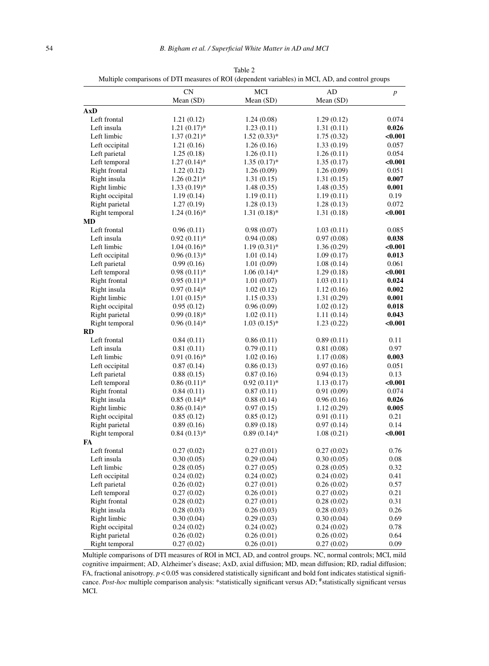|                             | <b>CN</b>      | MCI            | AD         | $\boldsymbol{p}$ |
|-----------------------------|----------------|----------------|------------|------------------|
|                             | Mean $(SD)$    | Mean (SD)      | Mean (SD)  |                  |
| <b>AxD</b>                  |                |                |            |                  |
| Left frontal                | 1.21(0.12)     | 1.24(0.08)     | 1.29(0.12) | 0.074            |
| Left insula                 | $1.21(0.17)$ * | 1.23(0.11)     | 1.31(0.11) | 0.026            |
| Left limbic                 | $1.37(0.21)$ * | $1.52(0.33)*$  | 1.75(0.32) | $0.001$          |
| Left occipital              | 1.21(0.16)     | 1.26(0.16)     | 1.33(0.19) | 0.057            |
| Left parietal               | 1.25(0.18)     | 1.26(0.11)     | 1.26(0.11) | 0.054            |
| Left temporal               | $1.27(0.14)$ * | $1.35(0.17)$ * | 1.35(0.17) | < 0.001          |
| Right frontal               | 1.22(0.12)     | 1.26(0.09)     | 1.26(0.09) | 0.051            |
| Right insula                | $1.26(0.21)$ * | 1.31(0.15)     | 1.31(0.15) | 0.007            |
| Right limbic                | $1.33(0.19)*$  | 1.48(0.35)     | 1.48(0.35) | 0.001            |
| Right occipital             | 1.19(0.14)     | 1.19(0.11)     | 1.19(0.11) | 0.19             |
| Right parietal              | 1.27(0.19)     | 1.28(0.13)     | 1.28(0.13) | 0.072            |
| Right temporal              | $1.24(0.16)*$  | $1.31(0.18)$ * | 1.31(0.18) | < 0.001          |
| MD                          |                |                |            |                  |
| Left frontal                | 0.96(0.11)     | 0.98(0.07)     | 1.03(0.11) | 0.085            |
| Left insula                 | $0.92(0.11)*$  | 0.94(0.08)     | 0.97(0.08) | 0.038            |
| Left limbic                 | $1.04(0.16)*$  | $1.19(0.31)*$  | 1.36(0.29) | $0.001$          |
| Left occipital              | $0.96(0.13)*$  | 1.01(0.14)     | 1.09(0.17) | 0.013            |
| Left parietal               | 0.99(0.16)     | 1.01(0.09)     | 1.08(0.14) | 0.061            |
| Left temporal               | $0.98(0.11)*$  | $1.06(0.14)$ * | 1.29(0.18) | $0.001$          |
| Right frontal               | $0.95(0.11)*$  | 1.01(0.07)     | 1.03(0.11) | 0.024            |
| Right insula                | $0.97(0.14)$ * | 1.02(0.12)     | 1.12(0.16) | 0.002            |
| Right limbic                | $1.01(0.15)*$  | 1.15(0.33)     | 1.31(0.29) | 0.001            |
| Right occipital             | 0.95(0.12)     | 0.96(0.09)     |            | 0.018            |
|                             | $0.99(0.18)$ * |                | 1.02(0.12) | 0.043            |
| Right parietal              |                | 1.02(0.11)     | 1.11(0.14) | < 0.001          |
| Right temporal<br><b>RD</b> | $0.96(0.14)$ * | $1.03(0.15)*$  | 1.23(0.22) |                  |
| Left frontal                | 0.84(0.11)     | 0.86(0.11)     | 0.89(0.11) | 0.11             |
| Left insula                 | 0.81(0.11)     | 0.79(0.11)     | 0.81(0.08) | 0.97             |
| Left limbic                 | $0.91(0.16)$ * | 1.02(0.16)     | 1.17(0.08) | 0.003            |
| Left occipital              | 0.87(0.14)     | 0.86(0.13)     | 0.97(0.16) | 0.051            |
| Left parietal               | 0.88(0.15)     | 0.87(0.16)     | 0.94(0.13) | 0.13             |
| Left temporal               | $0.86(0.11)*$  | $0.92(0.11)*$  | 1.13(0.17) | < 0.001          |
| Right frontal               | 0.84(0.11)     | 0.87(0.11)     | 0.91(0.09) | 0.074            |
| Right insula                | $0.85(0.14)$ * | 0.88(0.14)     | 0.96(0.16) | 0.026            |
| Right limbic                | $0.86(0.14)$ * | 0.97(0.15)     | 1.12(0.29) | 0.005            |
| Right occipital             | 0.85(0.12)     | 0.85(0.12)     | 0.91(0.11) | 0.21             |
|                             |                |                |            | 0.14             |
| Right parietal              | 0.89(0.16)     | 0.89(0.18)     | 0.97(0.14) | < 0.001          |
| Right temporal<br>FA        | $0.84(0.13)*$  | $0.89(0.14)$ * | 1.08(0.21) |                  |
| Left frontal                | 0.27(0.02)     | 0.27(0.01)     | 0.27(0.02) | 0.76             |
| Left insula                 |                |                |            | 0.08             |
| Left limbic                 | 0.30(0.05)     | 0.29(0.04)     | 0.30(0.05) | 0.32             |
|                             | 0.28(0.05)     | 0.27(0.05)     | 0.28(0.05) | 0.41             |
| Left occipital              | 0.24(0.02)     | 0.24(0.02)     | 0.24(0.02) |                  |
| Left parietal               | 0.26(0.02)     | 0.27(0.01)     | 0.26(0.02) | 0.57             |
| Left temporal               | 0.27(0.02)     | 0.26(0.01)     | 0.27(0.02) | 0.21             |
| Right frontal               | 0.28(0.02)     | 0.27(0.01)     | 0.28(0.02) | 0.31             |
| Right insula                | 0.28(0.03)     | 0.26(0.03)     | 0.28(0.03) | 0.26             |
| Right limbic                | 0.30(0.04)     | 0.29(0.03)     | 0.30(0.04) | 0.69             |
| Right occipital             | 0.24(0.02)     | 0.24(0.02)     | 0.24(0.02) | 0.78             |
| Right parietal              | 0.26(0.02)     | 0.26(0.01)     | 0.26(0.02) | 0.64             |
| Right temporal              | 0.27(0.02)     | 0.26(0.01)     | 0.27(0.02) | 0.09             |

Table 2 Multiple comparisons of DTI measures of ROI (dependent variables) in MCI, AD, and control groups

Multiple comparisons of DTI measures of ROI in MCI, AD, and control groups. NC, normal controls; MCI, mild cognitive impairment; AD, Alzheimer's disease; AxD, axial diffusion; MD, mean diffusion; RD, radial diffusion; FA, fractional anisotropy. *p* < 0.05 was considered statistically significant and bold font indicates statistical significance. Post-hoc multiple comparison analysis: \*statistically significant versus AD; #statistically significant versus MCI.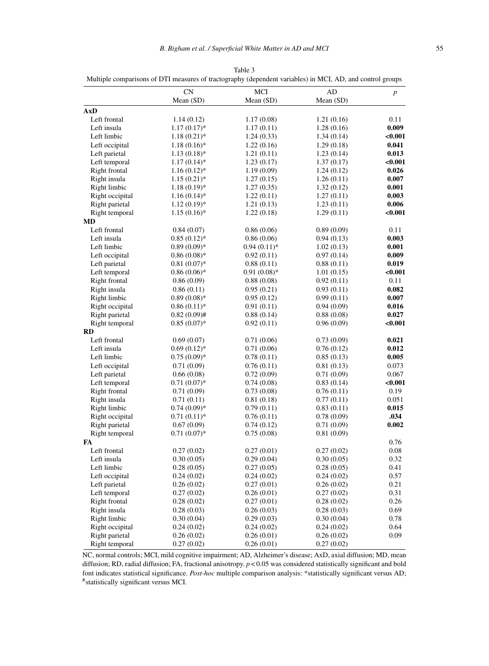# *B. Bigham et al. / Superficial White Matter in AD and MCI* 55

|                               | <b>CN</b>                | MCI                      | AD                       | $\boldsymbol{p}$ |
|-------------------------------|--------------------------|--------------------------|--------------------------|------------------|
|                               | Mean (SD)                | Mean (SD)                | Mean (SD)                |                  |
| <b>AxD</b>                    |                          |                          |                          |                  |
| Left frontal                  | 1.14(0.12)               | 1.17(0.08)               | 1.21(0.16)               | 0.11             |
| Left insula                   | $1.17(0.17)$ *           | 1.17(0.11)               | 1.28(0.16)               | 0.009            |
| Left limbic                   | $1.18(0.21)*$            | 1.24(0.33)               | 1.34(0.14)               | $0.001$          |
| Left occipital                | $1.18(0.16)*$            | 1.22(0.16)               | 1.29(0.18)               | 0.041            |
| Left parietal                 | $1.13(0.18)$ *           | 1.21(0.11)               | 1.23(0.14)               | 0.013            |
| Left temporal                 | $1.17(0.14)$ *           | 1.23(0.17)               | 1.37(0.17)               | $0.001$          |
| Right frontal                 | $1.16(0.12)*$            | 1.19(0.09)               | 1.24(0.12)               | 0.026            |
| Right insula                  | $1.15(0.21)$ *           | 1.27(0.15)               | 1.26(0.11)               | 0.007            |
| Right limbic                  | $1.18(0.19)*$            | 1.27(0.35)               | 1.32(0.12)               | 0.001            |
| Right occipital               | $1.16(0.14)$ *           | 1.22(0.11)               | 1.27(0.11)               | 0.003            |
| Right parietal                | $1.12(0.19)*$            | 1.21(0.13)               | 1.23(0.11)               | 0.006            |
| Right temporal                | $1.15(0.16)$ *           | 1.22(0.18)               | 1.29(0.11)               | < 0.001          |
| <b>MD</b>                     |                          |                          |                          |                  |
| Left frontal                  | 0.84(0.07)               | 0.86(0.06)               | 0.89(0.09)               | 0.11             |
| Left insula                   | $0.85(0.12)$ *           | 0.86(0.06)               | 0.94(0.13)               | 0.003            |
| Left limbic                   | $0.89(0.09)*$            | $0.94(0.11)*$            | 1.02(0.13)               | 0.001            |
| Left occipital                | $0.86(0.08)$ *           | 0.92(0.11)               | 0.97(0.14)               | 0.009            |
| Left parietal                 | $0.81(0.07)*$            | 0.88(0.11)               | 0.88(0.11)               | 0.019            |
| Left temporal                 | $0.86(0.06)*$            | $0.91(0.08)*$            | 1.01(0.15)               | $0.001$          |
| Right frontal                 | 0.86(0.09)               | 0.88(0.08)               | 0.92(0.11)               | 0.11             |
| Right insula                  | 0.86(0.11)               | 0.95(0.21)               | 0.93(0.11)               | 0.082            |
| Right limbic                  | $0.89(0.08)*$            | 0.95(0.12)               | 0.99(0.11)               | 0.007            |
| Right occipital               | $0.86(0.11)*$            | 0.91(0.11)               | 0.94(0.09)               | 0.016            |
| Right parietal                | $0.82(0.09)$ #           | 0.88(0.14)               | 0.88(0.08)               | 0.027            |
| Right temporal                | $0.85(0.07)$ *           | 0.92(0.11)               | 0.96(0.09)               | $0.001$          |
| <b>RD</b>                     |                          |                          |                          |                  |
| Left frontal                  | 0.69(0.07)               | 0.71(0.06)               | 0.73(0.09)               | 0.021            |
| Left insula                   | $0.69(0.12)$ *           | 0.71(0.06)               | 0.76(0.12)               | 0.012            |
| Left limbic                   | $0.75(0.09)*$            | 0.78(0.11)               | 0.85(0.13)               | 0.005            |
| Left occipital                | 0.71(0.09)               | 0.76(0.11)               | 0.81(0.13)               | 0.073            |
| Left parietal                 | 0.66(0.08)               | 0.72(0.09)               | 0.71(0.09)               | 0.067            |
| Left temporal                 | $0.71(0.07)*$            | 0.74(0.08)               | 0.83(0.14)               | $0.001$          |
| Right frontal                 | 0.71(0.09)               | 0.73(0.08)               | 0.76(0.11)               | 0.19             |
| Right insula                  | 0.71(0.11)               | 0.81(0.18)               | 0.77(0.11)               | 0.051            |
| Right limbic                  | $0.74(0.09)*$            | 0.79(0.11)               | 0.83(0.11)               | 0.015            |
| Right occipital               | $0.71(0.11)*$            | 0.76(0.11)               | 0.78(0.09)               | .034             |
| Right parietal                | 0.67(0.09)               | 0.74(0.12)               | 0.71(0.09)               | 0.002            |
| Right temporal                |                          |                          |                          |                  |
| FA                            | $0.71(0.07)*$            | 0.75(0.08)               | 0.81(0.09)               | 0.76             |
| Left frontal                  | 0.27(0.02)               | 0.27(0.01)               | 0.27(0.02)               | 0.08             |
| Left insula                   | 0.30(0.05)               | 0.29(0.04)               | 0.30(0.05)               | 0.32             |
| Left limbic                   |                          |                          |                          | 0.41             |
| Left occipital                | 0.28(0.05)<br>0.24(0.02) | 0.27(0.05)               | 0.28(0.05)               | 0.57             |
|                               |                          | 0.24(0.02)               | 0.24(0.02)               | 0.21             |
| Left parietal                 | 0.26(0.02)<br>0.27(0.02) | 0.27(0.01)               | 0.26(0.02)<br>0.27(0.02) | 0.31             |
| Left temporal                 |                          | 0.26(0.01)               |                          | 0.26             |
| Right frontal<br>Right insula | 0.28(0.02)               | 0.27(0.01)               | 0.28(0.02)               | 0.69             |
| Right limbic                  | 0.28(0.03)<br>0.30(0.04) | 0.26(0.03)<br>0.29(0.03) | 0.28(0.03)<br>0.30(0.04) | 0.78             |
|                               |                          |                          |                          | 0.64             |
| Right occipital               | 0.24(0.02)               | 0.24(0.02)               | 0.24(0.02)               | 0.09             |
| Right parietal                | 0.26(0.02)               | 0.26(0.01)               | 0.26(0.02)               |                  |
| Right temporal                | 0.27(0.02)               | 0.26(0.01)               | 0.27(0.02)               |                  |

Table 3 Multiple comparisons of DTI measures of tractography (dependent variables) in MCI, AD, and control groups

NC, normal controls; MCI, mild cognitive impairment; AD, Alzheimer's disease; AxD, axial diffusion; MD, mean diffusion; RD, radial diffusion; FA, fractional anisotropy. *p* < 0.05 was considered statistically significant and bold font indicates statistical significance. *Post-hoc* multiple comparison analysis: \*statistically significant versus AD; #statistically significant versus MCI.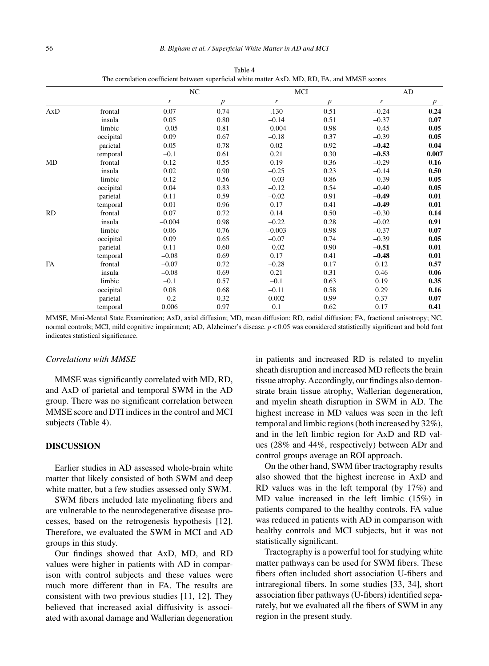|           |           | NC       |                  | MCI      |                  | AD      |                  |
|-----------|-----------|----------|------------------|----------|------------------|---------|------------------|
|           |           | r        | $\boldsymbol{p}$ | r        | $\boldsymbol{p}$ | r       | $\boldsymbol{p}$ |
| AxD       | frontal   | 0.07     | 0.74             | .130     | 0.51             | $-0.24$ | 0.24             |
|           | insula    | 0.05     | 0.80             | $-0.14$  | 0.51             | $-0.37$ | 0.07             |
|           | limbic    | $-0.05$  | 0.81             | $-0.004$ | 0.98             | $-0.45$ | 0.05             |
|           | occipital | 0.09     | 0.67             | $-0.18$  | 0.37             | $-0.39$ | 0.05             |
|           | parietal  | 0.05     | 0.78             | 0.02     | 0.92             | $-0.42$ | 0.04             |
|           | temporal  | $-0.1$   | 0.61             | 0.21     | 0.30             | $-0.53$ | 0.007            |
| MD        | frontal   | 0.12     | 0.55             | 0.19     | 0.36             | $-0.29$ | 0.16             |
|           | insula    | 0.02     | 0.90             | $-0.25$  | 0.23             | $-0.14$ | 0.50             |
|           | limbic    | 0.12     | 0.56             | $-0.03$  | 0.86             | $-0.39$ | 0.05             |
|           | occipital | 0.04     | 0.83             | $-0.12$  | 0.54             | $-0.40$ | 0.05             |
|           | parietal  | 0.11     | 0.59             | $-0.02$  | 0.91             | $-0.49$ | 0.01             |
|           | temporal  | 0.01     | 0.96             | 0.17     | 0.41             | $-0.49$ | 0.01             |
| <b>RD</b> | frontal   | 0.07     | 0.72             | 0.14     | 0.50             | $-0.30$ | 0.14             |
|           | insula    | $-0.004$ | 0.98             | $-0.22$  | 0.28             | $-0.02$ | 0.91             |
|           | limbic    | 0.06     | 0.76             | $-0.003$ | 0.98             | $-0.37$ | 0.07             |
|           | occipital | 0.09     | 0.65             | $-0.07$  | 0.74             | $-0.39$ | 0.05             |
|           | parietal  | 0.11     | 0.60             | $-0.02$  | 0.90             | $-0.51$ | 0.01             |
|           | temporal  | $-0.08$  | 0.69             | 0.17     | 0.41             | $-0.48$ | 0.01             |
| FA        | frontal   | $-0.07$  | 0.72             | $-0.28$  | 0.17             | 0.12    | 0.57             |
|           | insula    | $-0.08$  | 0.69             | 0.21     | 0.31             | 0.46    | 0.06             |
|           | limbic    | $-0.1$   | 0.57             | $-0.1$   | 0.63             | 0.19    | 0.35             |
|           | occipital | 0.08     | 0.68             | $-0.11$  | 0.58             | 0.29    | 0.16             |
|           | parietal  | $-0.2$   | 0.32             | 0.002    | 0.99             | 0.37    | 0.07             |
|           | temporal  | 0.006    | 0.97             | 0.1      | 0.62             | 0.17    | 0.41             |

Table 4 The correlation coefficient between superficial white matter AxD, MD, RD, FA, and MMSE scores

MMSE, Mini-Mental State Examination; AxD, axial diffusion; MD, mean diffusion; RD, radial diffusion; FA, fractional anisotropy; NC, normal controls; MCI, mild cognitive impairment; AD, Alzheimer's disease.  $p < 0.05$  was considered statistically significant and bold font indicates statistical significance.

#### *Correlations with MMSE*

MMSE was significantly correlated with MD, RD, and AxD of parietal and temporal SWM in the AD group. There was no significant correlation between MMSE score and DTI indices in the control and MCI subjects (Table 4).

# **DISCUSSION**

Earlier studies in AD assessed whole-brain white matter that likely consisted of both SWM and deep white matter, but a few studies assessed only SWM.

SWM fibers included late myelinating fibers and are vulnerable to the neurodegenerative disease processes, based on the retrogenesis hypothesis [12]. Therefore, we evaluated the SWM in MCI and AD groups in this study.

Our findings showed that AxD, MD, and RD values were higher in patients with AD in comparison with control subjects and these values were much more different than in FA. The results are consistent with two previous studies [11, 12]. They believed that increased axial diffusivity is associated with axonal damage and Wallerian degeneration in patients and increased RD is related to myelin sheath disruption and increased MD reflects the brain tissue atrophy. Accordingly, our findings also demonstrate brain tissue atrophy, Wallerian degeneration, and myelin sheath disruption in SWM in AD. The highest increase in MD values was seen in the left temporal and limbic regions (both increased by 32%), and in the left limbic region for AxD and RD values (28% and 44%, respectively) between ADr and control groups average an ROI approach.

On the other hand, SWM fiber tractography results also showed that the highest increase in AxD and RD values was in the left temporal (by 17%) and MD value increased in the left limbic (15%) in patients compared to the healthy controls. FA value was reduced in patients with AD in comparison with healthy controls and MCI subjects, but it was not statistically significant.

Tractography is a powerful tool for studying white matter pathways can be used for SWM fibers. These fibers often included short association U-fibers and intraregional fibers. In some studies [33, 34], short association fiber pathways (U-fibers) identified separately, but we evaluated all the fibers of SWM in any region in the present study.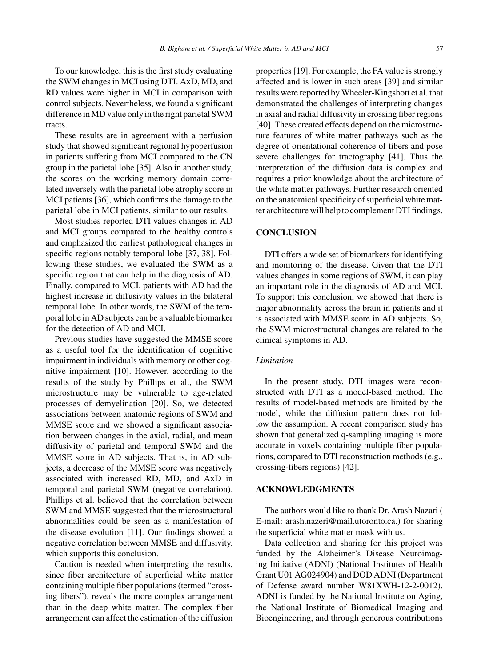To our knowledge, this is the first study evaluating the SWM changes in MCI using DTI. AxD, MD, and RD values were higher in MCI in comparison with control subjects. Nevertheless, we found a significant difference in MD value only in the right parietal SWM tracts.

These results are in agreement with a perfusion study that showed significant regional hypoperfusion in patients suffering from MCI compared to the CN group in the parietal lobe [35]. Also in another study, the scores on the working memory domain correlated inversely with the parietal lobe atrophy score in MCI patients [36], which confirms the damage to the parietal lobe in MCI patients, similar to our results.

Most studies reported DTI values changes in AD and MCI groups compared to the healthy controls and emphasized the earliest pathological changes in specific regions notably temporal lobe [37, 38]. Following these studies, we evaluated the SWM as a specific region that can help in the diagnosis of AD. Finally, compared to MCI, patients with AD had the highest increase in diffusivity values in the bilateral temporal lobe. In other words, the SWM of the temporal lobe in AD subjects can be a valuable biomarker for the detection of AD and MCI.

Previous studies have suggested the MMSE score as a useful tool for the identification of cognitive impairment in individuals with memory or other cognitive impairment [10]. However, according to the results of the study by Phillips et al., the SWM microstructure may be vulnerable to age-related processes of demyelination [20]. So, we detected associations between anatomic regions of SWM and MMSE score and we showed a significant association between changes in the axial, radial, and mean diffusivity of parietal and temporal SWM and the MMSE score in AD subjects. That is, in AD subjects, a decrease of the MMSE score was negatively associated with increased RD, MD, and AxD in temporal and parietal SWM (negative correlation). Phillips et al. believed that the correlation between SWM and MMSE suggested that the microstructural abnormalities could be seen as a manifestation of the disease evolution [11]. Our findings showed a negative correlation between MMSE and diffusivity, which supports this conclusion.

Caution is needed when interpreting the results, since fiber architecture of superficial white matter containing multiple fiber populations (termed "crossing fibers"), reveals the more complex arrangement than in the deep white matter. The complex fiber arrangement can affect the estimation of the diffusion

properties [19]. For example, the FA value is strongly affected and is lower in such areas [39] and similar results were reported by Wheeler-Kingshott et al. that demonstrated the challenges of interpreting changes in axial and radial diffusivity in crossing fiber regions [40]. These created effects depend on the microstructure features of white matter pathways such as the degree of orientational coherence of fibers and pose severe challenges for tractography [41]. Thus the interpretation of the diffusion data is complex and requires a prior knowledge about the architecture of the white matter pathways. Further research oriented on the anatomical specificity of superficial white matter architecture will help to complement DTI findings.

# **CONCLUSION**

DTI offers a wide set of biomarkers for identifying and monitoring of the disease. Given that the DTI values changes in some regions of SWM, it can play an important role in the diagnosis of AD and MCI. To support this conclusion, we showed that there is major abnormality across the brain in patients and it is associated with MMSE score in AD subjects. So, the SWM microstructural changes are related to the clinical symptoms in AD.

# *Limitation*

In the present study, DTI images were reconstructed with DTI as a model-based method. The results of model-based methods are limited by the model, while the diffusion pattern does not follow the assumption. A recent comparison study has shown that generalized q-sampling imaging is more accurate in voxels containing multiple fiber populations, compared to DTI reconstruction methods (e.g., crossing-fibers regions) [42].

# **ACKNOWLEDGMENTS**

The authors would like to thank Dr. Arash Nazari ( E-mail: [arash.nazeri@mail.utoronto.ca](mailto:arash.nazeri@mail.utoronto.ca).) for sharing the superficial white matter mask with us.

Data collection and sharing for this project was funded by the Alzheimer's Disease Neuroimaging Initiative (ADNI) (National Institutes of Health Grant U01 AG024904) and DOD ADNI (Department of Defense award number W81XWH-12-2-0012). ADNI is funded by the National Institute on Aging, the National Institute of Biomedical Imaging and Bioengineering, and through generous contributions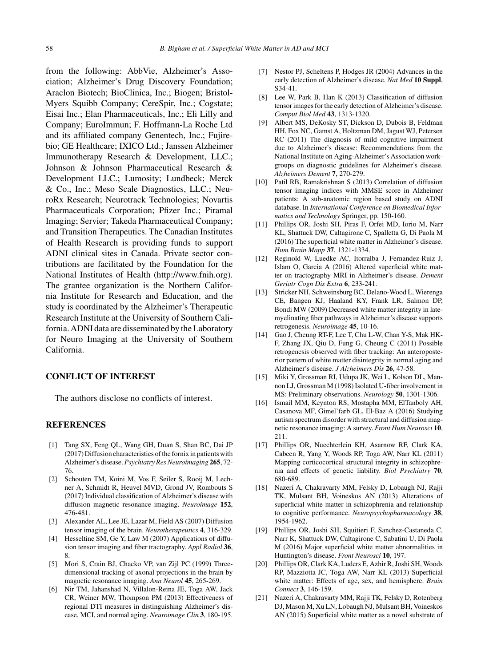from the following: AbbVie, Alzheimer's Association; Alzheimer's Drug Discovery Foundation; Araclon Biotech; BioClinica, Inc.; Biogen; Bristol-Myers Squibb Company; CereSpir, Inc.; Cogstate; Eisai Inc.; Elan Pharmaceuticals, Inc.; Eli Lilly and Company; EuroImmun; F. Hoffmann-La Roche Ltd and its affiliated company Genentech, Inc.; Fujirebio; GE Healthcare; IXICO Ltd.; Janssen Alzheimer Immunotherapy Research & Development, LLC.; Johnson & Johnson Pharmaceutical Research & Development LLC.; Lumosity; Lundbeck; Merck & Co., Inc.; Meso Scale Diagnostics, LLC.; NeuroRx Research; Neurotrack Technologies; Novartis Pharmaceuticals Corporation; Pfizer Inc.; Piramal Imaging; Servier; Takeda Pharmaceutical Company; and Transition Therapeutics. The Canadian Institutes of Health Research is providing funds to support ADNI clinical sites in Canada. Private sector contributions are facilitated by the Foundation for the National Institutes of Health ([http://www.fnih.org\)](http://www.fnih.org). The grantee organization is the Northern California Institute for Research and Education, and the study is coordinated by the Alzheimer's Therapeutic Research Institute at the University of Southern California. ADNI data are disseminated by the Laboratory for Neuro Imaging at the University of Southern California.

# **CONFLICT OF INTEREST**

The authors disclose no conflicts of interest.

# **REFERENCES**

- [1] Tang SX, Feng QL, Wang GH, Duan S, Shan BC, Dai JP (2017) Diffusion characteristics of the fornix in patients with Alzheimer's disease. *Psychiatry Res Neuroimaging* **265**, 72- 76.
- [2] Schouten TM, Koini M, Vos F, Seiler S, Rooij M, Lechner A, Schmidt R, Heuvel MVD, Grond JV, Rombouts S (2017) Individual classification of Alzheimer's disease with diffusion magnetic resonance imaging. *Neuroimage* **152**, 476-481.
- [3] Alexander AL, Lee JE, Lazar M, Field AS (2007) Diffusion tensor imaging of the brain. *Neurotherapeutics* **4**, 316-329.
- [4] Hesseltine SM, Ge Y, Law M (2007) Applications of diffusion tensor imaging and fiber tractography. *Appl Radiol* **36**, 8.
- [5] Mori S, Crain BJ, Chacko VP, van Zijl PC (1999) Threedimensional tracking of axonal projections in the brain by magnetic resonance imaging. *Ann Neurol* **45**, 265-269.
- [6] Nir TM, Jahanshad N, Villalon-Reina JE, Toga AW, Jack CR, Weiner MW, Thompson PM (2013) Effectiveness of regional DTI measures in distinguishing Alzheimer's disease, MCI, and normal aging. *Neuroimage Clin* **3**, 180-195.
- [7] Nestor PJ, Scheltens P, Hodges JR (2004) Advances in the early detection of Alzheimer's disease. *Nat Med* **10 Suppl**, S34-41.
- [8] Lee W, Park B, Han K (2013) Classification of diffusion tensor images for the early detection of Alzheimer's disease. *Comput Biol Med* **43**, 1313-1320.
- [9] Albert MS, DeKosky ST, Dickson D, Dubois B, Feldman HH, Fox NC, Gamst A, Holtzman DM, Jagust WJ, Petersen RC (2011) The diagnosis of mild cognitive impairment due to Alzheimer's disease: Recommendations from the National Institute on Aging-Alzheimer's Association workgroups on diagnostic guidelines for Alzheimer's disease. *Alzheimers Dement* **7**, 270-279.
- [10] Patil RB, Ramakrishnan S (2013) Correlation of diffusion tensor imaging indices with MMSE score in Alzheimer patients: A sub-anatomic region based study on ADNI database. In *International Conference on Biomedical Informatics and Technology* Springer, pp. 150-160.
- [11] Phillips OR, Joshi SH, Piras F, Orfei MD, Iorio M, Narr KL, Shattuck DW, Caltagirone C, Spalletta G, Di Paola M (2016) The superficial white matter in Alzheimer's disease. *Hum Brain Mapp* **37**, 1321-1334.
- [12] Reginold W, Luedke AC, Itorralba J, Fernandez-Ruiz J, Islam O, Garcia A (2016) Altered superficial white matter on tractography MRI in Alzheimer's disease. *Dement Geriatr Cogn Dis Extra* **6**, 233-241.
- [13] Stricker NH, Schweinsburg BC, Delano-Wood L, Wierenga CE, Bangen KJ, Haaland KY, Frank LR, Salmon DP, Bondi MW (2009) Decreased white matter integrity in latemyelinating fiber pathways in Alzheimer's disease supports retrogenesis. *Neuroimage* **45**, 10-16.
- [14] Gao J, Cheung RT-F, Lee T, Chu L-W, Chan Y-S, Mak HK-F, Zhang JX, Qiu D, Fung G, Cheung C (2011) Possible retrogenesis observed with fiber tracking: An anteroposterior pattern of white matter disintegrity in normal aging and Alzheimer's disease. *J Alzheimers Dis* **26**, 47-58.
- [15] Miki Y, Grossman RI, Udupa JK, Wei L, Kolson DL, Mannon LJ, Grossman M (1998) Isolated U-fiber involvement in MS: Preliminary observations. *Neurology* **50**, 1301-1306.
- [16] Ismail MM, Keynton RS, Mostapha MM, ElTanboly AH, Casanova MF, Gimel'farb GL, El-Baz A (2016) Studying autism spectrum disorder with structural and diffusion magnetic resonance imaging: A survey. *Front Hum Neurosci* **10**, 211.
- [17] Phillips OR, Nuechterlein KH, Asarnow RF, Clark KA, Cabeen R, Yang Y, Woods RP, Toga AW, Narr KL (2011) Mapping corticocortical structural integrity in schizophrenia and effects of genetic liability. *Biol Psychiatry* **70**, 680-689.
- [18] Nazeri A, Chakravarty MM, Felsky D, Lobaugh NJ, Rajji TK, Mulsant BH, Voineskos AN (2013) Alterations of superficial white matter in schizophrenia and relationship to cognitive performance. *Neuropsychopharmacology* **38**, 1954-1962.
- [19] Phillips OR, Joshi SH, Squitieri F, Sanchez-Castaneda C, Narr K, Shattuck DW, Caltagirone C, Sabatini U, Di Paola M (2016) Major superficial white matter abnormalities in Huntington's disease. *Front Neurosci* **10**, 197.
- [20] Phillips OR, Clark KA, Luders E, Azhir R, Joshi SH, Woods RP, Mazziotta JC, Toga AW, Narr KL (2013) Superficial white matter: Effects of age, sex, and hemisphere. *Brain Connect* **3**, 146-159.
- [21] Nazeri A, Chakravarty MM, Rajji TK, Felsky D, Rotenberg DJ, Mason M, Xu LN, Lobaugh NJ, Mulsant BH, Voineskos AN (2015) Superficial white matter as a novel substrate of